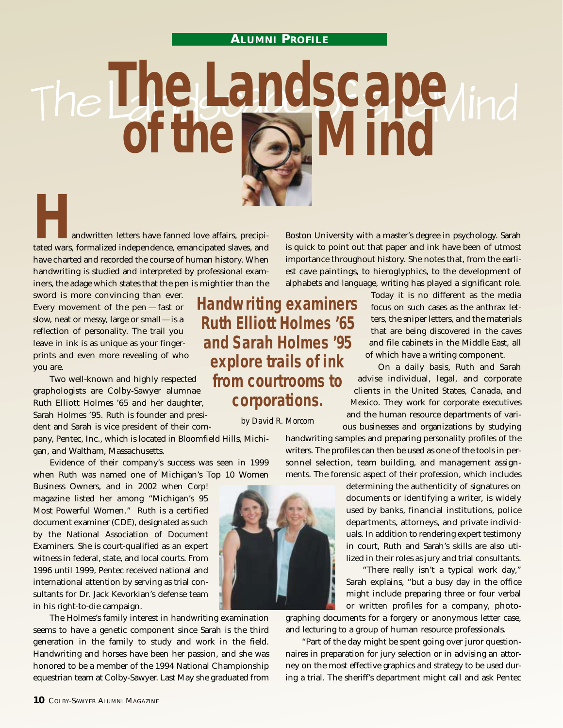## **ALUMNI PROFILE**

The Landscape of the  $\geq$ 

**Handwritten letters have fanned love affairs, precipitated wars, formalized independence, emancipated slaves, and** have charted and recorded the course of human history. When handwriting is studied and interpreted by professional examiners, the adage which states that the pen is mightier than the

sword is more convincing than ever. Every movement of the pen — fast or slow, neat or messy, large or small—is a reflection of personality. The trail you leave in ink is as unique as your fingerprints and even more revealing of who you are.

Two well-known and highly respected graphologists are Colby-Sawyer alumnae Ruth Elliott Holmes '65 and her daughter, Sarah Holmes '95. Ruth is founder and president and Sarah is vice president of their com-

pany, Pentec, Inc., which is located in Bloomfield Hills, Michigan, and Waltham, Massachusetts.

Evidence of their company's success was seen in 1999 when Ruth was named one of Michigan's Top 10 Women

Business Owners, and in 2002 when *Corp!* magazine listed her among "Michigan's 95 Most Powerful Women." Ruth is a certified document examiner (CDE), designated as such by the National Association of Document Examiners. She is court-qualified as an expert witness in federal, state, and local courts. From 1996 until 1999, Pentec received national and international attention by serving as trial consultants for Dr. Jack Kevorkian's defense team in his right-to-die campaign.

The Holmes's family interest in handwriting examination seems to have a genetic component since Sarah is the third generation in the family to study and work in the field. Handwriting and horses have been her passion, and she was honored to be a member of the 1994 National Championship equestrian team at Colby-Sawyer. Last May she graduated from

**Handwriting examiners Ruth Elliott Holmes '65 and Sarah Holmes '95 explore trails of ink from courtrooms to corporations.**

*by David R. Morcom*

Today it is no different as the media focus on such cases as the anthrax letters, the sniper letters, and the materials that are being discovered in the caves and file cabinets in the Middle East, all of which have a writing component.

On a daily basis, Ruth and Sarah advise individual, legal, and corporate clients in the United States, Canada, and Mexico. They work for corporate executives and the human resource departments of various businesses and organizations by studying

handwriting samples and preparing personality profiles of the writers. The profiles can then be used as one of the tools in personnel selection, team building, and management assignments. The forensic aspect of their profession, which includes

Boston University with a master's degree in psychology. Sarah is quick to point out that paper and ink have been of utmost importance throughout history. She notes that, from the earliest cave paintings, to hieroglyphics, to the development of alphabets and language, writing has played a significant role.

> determining the authenticity of signatures on documents or identifying a writer, is widely used by banks, financial institutions, police departments, attorneys, and private individuals. In addition to rendering expert testimony in court, Ruth and Sarah's skills are also utilized in their roles as jury and trial consultants.

> "There really isn't a typical work day," Sarah explains, "but a busy day in the office might include preparing three or four verbal or written profiles for a company, photo-

graphing documents for a forgery or anonymous letter case, and lecturing to a group of human resource professionals.

"Part of the day might be spent going over juror questionnaires in preparation for jury selection or in advising an attorney on the most effective graphics and strategy to be used during a trial. The sheriff's department might call and ask Pentec